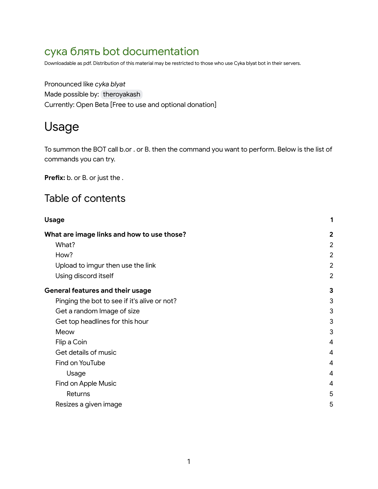# сука блять bot documentation

Downloadable as pdf. Distribution of this material may be restricted to those who use Cyka blyat bot in their servers.

Pronounced like *cyka blyat* Made possible by: [theroyakash](mailto:theakashaiims@gmail.com) Currently: Open Beta [Free to use and optional donation]

# <span id="page-0-0"></span>Usage

To summon the BOT call b.or . or B. then the command you want to perform. Below is the list of commands you can try.

Prefix: b. or B. or just the .

#### Table of contents

| <b>Usage</b>                                 | 1              |
|----------------------------------------------|----------------|
| What are image links and how to use those?   | $\overline{2}$ |
| What?                                        | $\overline{2}$ |
| How?                                         | $\overline{2}$ |
| Upload to imgur then use the link            | $\overline{2}$ |
| Using discord itself                         | $\overline{2}$ |
| <b>General features and their usage</b>      | 3              |
| Pinging the bot to see if it's alive or not? | 3              |
| Get a random Image of size                   | 3              |
| Get top headlines for this hour              | 3              |
| Meow                                         | 3              |
| Flip a Coin                                  | 4              |
| Get details of music                         | 4              |
| Find on YouTube                              | 4              |
| Usage                                        | 4              |
| Find on Apple Music                          | 4              |
| Returns                                      | 5              |
| Resizes a given image                        | 5              |
|                                              |                |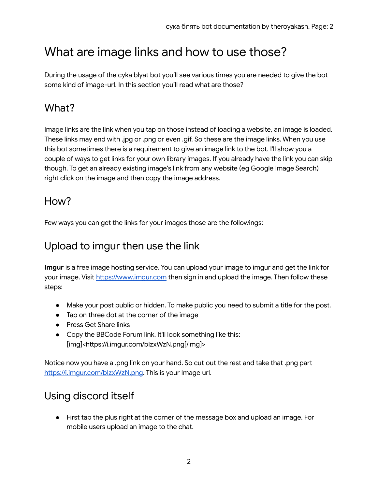# <span id="page-1-0"></span>What are image links and how to use those?

During the usage of the cyka blyat bot you'll see various times you are needed to give the bot some kind of image-url. In this section you'll read what are those?

## <span id="page-1-1"></span>What?

Image links are the link when you tap on those instead of loading a website, an image is loaded. These links may end with .jpg or .png or even .gif. So these are the image links. When you use this bot sometimes there is a requirement to give an image link to the bot. I'll show you a couple of ways to get links for your own library images. If you already have the link you can skip though. To get an already existing image's link from any website (eg Google Image Search) right click on the image and then copy the image address.

#### <span id="page-1-2"></span>How?

Few ways you can get the links for your images those are the followings:

## <span id="page-1-3"></span>Upload to imgur then use the link

**Imgur** is a free image hosting service. You can upload your image to imgur and get the link for your image. Visit <https://www.imgur.com> then sign in and upload the image. Then follow these steps:

- Make your post public or hidden. To make public you need to submit a title for the post.
- Tap on three dot at the corner of the image
- Press Get Share links
- Copy the BBCode Forum link. It'll look something like this: [img]<https://i.imgur.com/bIzxWzN.png[/img]>

Notice now you have a .png link on your hand. So cut out the rest and take that .png part https://i.imgur.com/blzxWzN.png. This is your Image url.

## <span id="page-1-4"></span>Using discord itself

● First tap the plus right at the corner of the message box and upload an image. For mobile users upload an image to the chat.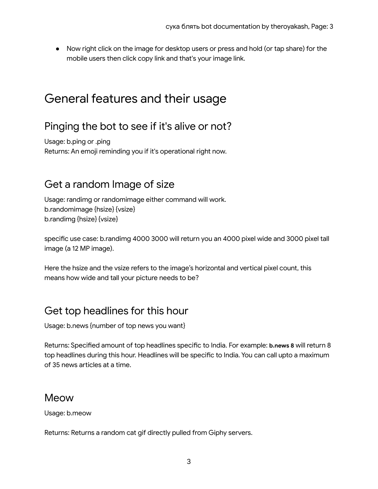● Now right click on the image for desktop users or press and hold (or tap share) for the mobile users then click copy link and that's your image link.

# <span id="page-2-0"></span>General features and their usage

#### <span id="page-2-1"></span>Pinging the bot to see if it's alive or not?

Usage: b.ping or .ping Returns: An emoji reminding you if it's operational right now.

#### <span id="page-2-2"></span>Get a random Image of size

Usage: randimg or randomimage either command will work. b.randomimage {hsize} {vsize} b.randimg {hsize} {vsize}

specific use case: b.randimg 4000 3000 will return you an 4000 pixel wide and 3000 pixel tall image (a 12 MP image).

Here the hsize and the vsize refers to the image's horizontal and vertical pixel count, this means how wide and tall your picture needs to be?

#### <span id="page-2-3"></span>Get top headlines for this hour

Usage: b.news {number of top news you want}

Returns: Specified amount of top headlines specific to India. For example: **b.news 8** will return 8 top headlines during this hour. Headlines will be specific to India. You can call upto a maximum of 35 news articles at a time.

#### <span id="page-2-4"></span>Meow

Usage: b.meow

Returns: Returns a random cat gif directly pulled from Giphy servers.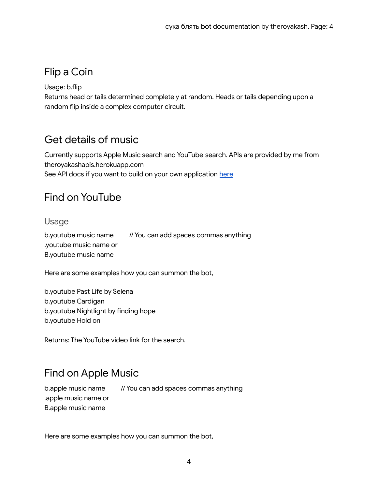## <span id="page-3-0"></span>Flip a Coin

Usage: b.flip

Returns head or tails determined completely at random. Heads or tails depending upon a random flip inside a complex computer circuit.

#### <span id="page-3-1"></span>Get details of music

Currently supports Apple Music search and YouTube search. APIs are provided by me from theroyakashapis.herokuapp.com See API docs if you want to build on your own application [here](https://www.github.com/theroyakash/music-api)

#### <span id="page-3-2"></span>Find on YouTube

#### <span id="page-3-3"></span>Usage

b.youtube music name // You can add spaces commas anything .youtube music name or B.youtube music name

Here are some examples how you can summon the bot,

b.youtube Past Life by Selena b.youtube Cardigan b.youtube Nightlight by finding hope b.youtube Hold on

Returns: The YouTube video link for the search.

## <span id="page-3-4"></span>Find on Apple Music

b.apple music name // You can add spaces commas anything .apple music name or B.apple music name

Here are some examples how you can summon the bot,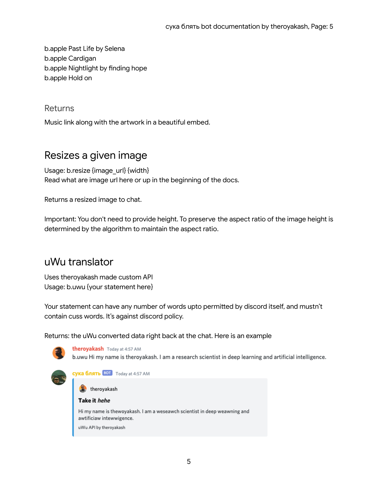b.apple Past Life by Selena b.apple Cardigan b.apple Nightlight by finding hope b.apple Hold on

<span id="page-4-0"></span>Returns

Music link along with the artwork in a beautiful embed.

#### <span id="page-4-1"></span>Resizes a given image

Usage: b.resize {image\_url} {width} Read what are image url here or up in the beginning of the docs.

Returns a resized image to chat.

Important: You don't need to provide height. To preserve the aspect ratio of the image height is determined by the algorithm to maintain the aspect ratio.

#### uWu translator

Uses theroyakash made custom API Usage: b.uwu {your statement here}

Your statement can have any number of words upto permitted by discord itself, and mustn't contain cuss words. It's against discord policy.

Returns: the uWu converted data right back at the chat. Here is an example



5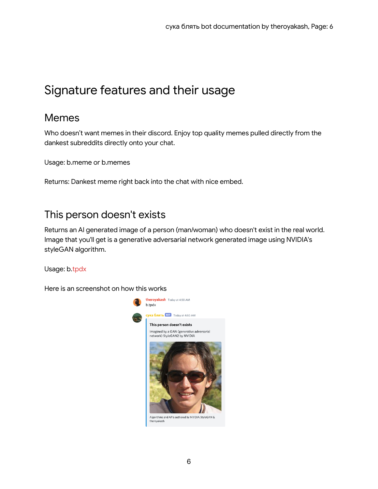# Signature features and their usage

#### Memes

Who doesn't want memes in their discord. Enjoy top quality memes pulled directly from the dankest subreddits directly onto your chat.

Usage: b.meme or b.memes

Returns: Dankest meme right back into the chat with nice embed.

#### This person doesn't exists

Returns an AI generated image of a person (man/woman) who doesn't exist in the real world. Image that you'll get is a generative adversarial network generated image using NVIDIA's styleGAN algorithm.

Usage: b.tpdx

Here is an screenshot on how this works

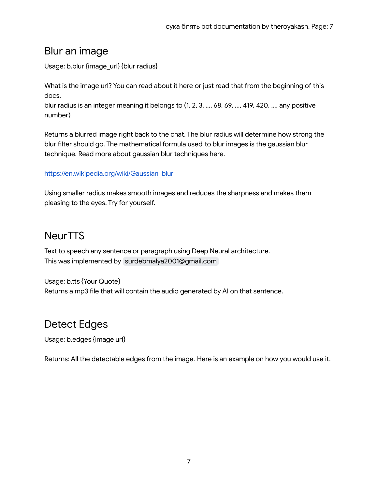#### Blur an image

Usage: b.blur {image\_url} {blur radius}

What is the image url? You can read about it here or just read that from the beginning of this docs.

blur radius is an integer meaning it belongs to (1, 2, 3, ..., 68, 69, ..., 419, 420, ..., any positive number)

Returns a blurred image right back to the chat. The blur radius will determine how strong the blur filter should go. The mathematical formula used to blur images is the gaussian blur technique. Read more about gaussian blur techniques here.

#### [https://en.wikipedia.org/wiki/Gaussian\\_blur](https://en.wikipedia.org/wiki/Gaussian_blur)

Using smaller radius makes smooth images and reduces the sharpness and makes them pleasing to the eyes. Try for yourself.

#### **NeurTTS**

Text to speech any sentence or paragraph using Deep Neural architecture. This was implemented by [surdebmalya2001@gmail.com](mailto:surdebmalya2001@gmail.com)

Usage: b.tts {Your Quote} Returns a mp3 file that will contain the audio generated by AI on that sentence.

## Detect Edges

Usage: b.edges {image url}

Returns: All the detectable edges from the image. Here is an example on how you would use it.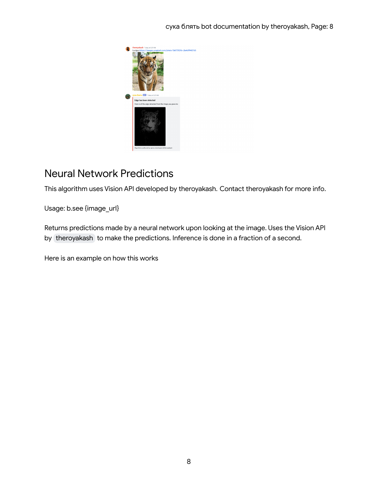

## Neural Network Predictions

This algorithm uses Vision API developed by theroyakash. Contact theroyakash for more info.

Usage: b.see {image\_url}

Returns predictions made by a neural network upon looking at the image. Uses the Vision API by [theroyakash](mailto:theakashaiims@gmail.com) to make the predictions. Inference is done in a fraction of a second.

Here is an example on how this works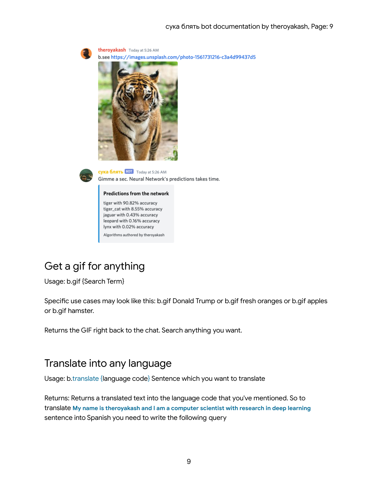



сука блять **ВОТ** Today at 5:26 AM Gimme a sec. Neural Network's predictions takes time.

#### Predictions from the network

tiger with 90.82% accuracy tiger\_cat with 8.55% accuracy jaguar with 0.43% accuracy leopard with 0.16% accuracy lynx with 0.02% accuracy Algorithms authored by theroyakash

## Get a gif for anything

Usage: b.gif {Search Term}

Specific use cases may look like this: b.gif Donald Trump or b.gif fresh oranges or b.gif apples or b.gif hamster.

Returns the GIF right back to the chat. Search anything you want.

#### Translate into any language

Usage: b.translate {language code} Sentence which you want to translate

Returns: Returns a translated text into the language code that you've mentioned. So to translate **My name is theroyakash and I am a computer scientist with research in deep learning** sentence into Spanish you need to write the following query